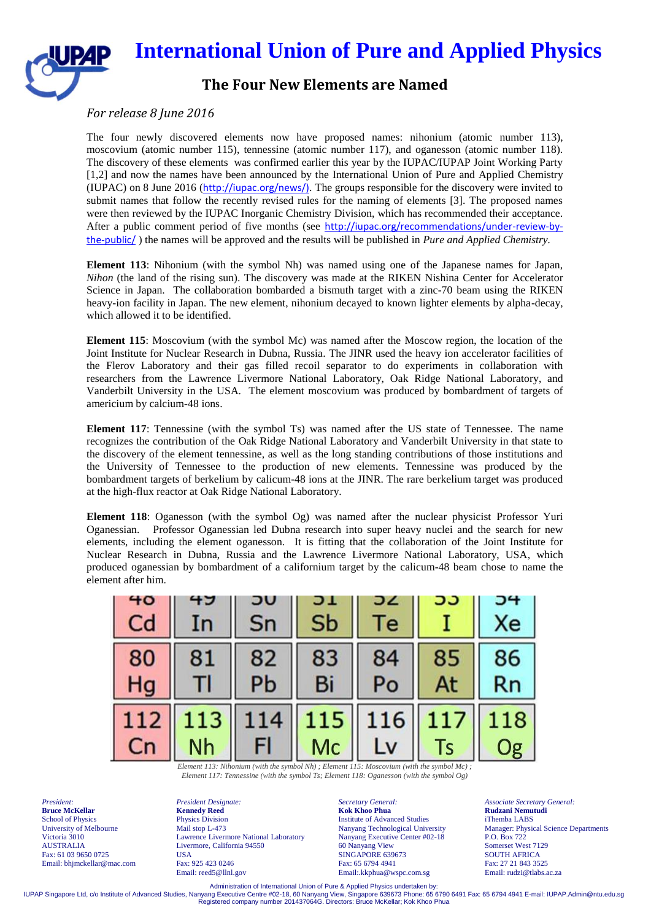

## **The Four New Elements are Named**

## *For release 8 June 2016*

The four newly discovered elements now have proposed names: nihonium (atomic number 113), moscovium (atomic number 115), tennessine (atomic number 117), and oganesson (atomic number 118). The discovery of these elements was confirmed earlier this year by the IUPAC/IUPAP Joint Working Party [1,2] and now the names have been announced by the International Union of Pure and Applied Chemistry (IUPAC) on 8 June 2016 (http://iupac.org/news/). The groups responsible for the discovery were invited to submit names that follow the recently revised rules for the naming of elements [3]. The proposed names were then reviewed by the IUPAC Inorganic Chemistry Division, which has recommended their acceptance. After a public comment period of five months (see http://iupac.org/recommendations/under-review-bythe-public/ ) the names will be approved and the results will be published in *Pure and Applied Chemistry.*

**Element 113**: Nihonium (with the symbol Nh) was named using one of the Japanese names for Japan, *Nihon* (the land of the rising sun). The discovery was made at the RIKEN Nishina Center for Accelerator Science in Japan. The collaboration bombarded a bismuth target with a zinc-70 beam using the RIKEN heavy-ion facility in Japan. The new element, nihonium decayed to known lighter elements by alpha-decay, which allowed it to be identified.

**Element 115**: Moscovium (with the symbol Mc) was named after the Moscow region, the location of the Joint Institute for Nuclear Research in Dubna, Russia. The JINR used the heavy ion accelerator facilities of the Flerov Laboratory and their gas filled recoil separator to do experiments in collaboration with researchers from the Lawrence Livermore National Laboratory, Oak Ridge National Laboratory, and Vanderbilt University in the USA. The element moscovium was produced by bombardment of targets of americium by calcium-48 ions.

**Element 117**: Tennessine (with the symbol Ts) was named after the US state of Tennessee. The name recognizes the contribution of the Oak Ridge National Laboratory and Vanderbilt University in that state to the discovery of the element tennessine, as well as the long standing contributions of those institutions and the University of Tennessee to the production of new elements. Tennessine was produced by the bombardment targets of berkelium by calicum-48 ions at the JINR. The rare berkelium target was produced at the high-flux reactor at Oak Ridge National Laboratory.

**Element 118**: Oganesson (with the symbol Og) was named after the nuclear physicist Professor Yuri Oganessian. Professor Oganessian led Dubna research into super heavy nuclei and the search for new elements, including the element oganesson. It is fitting that the collaboration of the Joint Institute for Nuclear Research in Dubna, Russia and the Lawrence Livermore National Laboratory, USA, which produced oganessian by bombardment of a californium target by the calicum-48 beam chose to name the element after him.

| 40 |     | טע        |     |                                                                                                      |        |    |
|----|-----|-----------|-----|------------------------------------------------------------------------------------------------------|--------|----|
| Cd |     | Sn        | Sb  | l e                                                                                                  |        | Хe |
| 80 | 81  | 82        | 83  | 84                                                                                                   | 85     | 86 |
| Ho |     | <b>Pb</b> | Bi  | Po                                                                                                   | At     | Rn |
|    | 113 | 4         | 115 | 116                                                                                                  | $-117$ | 18 |
|    | Nh  | н         | Mc  | $Flamant 113: Nihonium (with the symbol Nh) \cdot Flamant 115: Maccouium (with the symbol MO) \cdot$ | Is     |    |

*Element 113: Nihonium (with the symbol Nh) ; Element 115: Moscovium (with the symbol Mc) ; Element 117: Tennessine (with the symbol Ts; Element 118: Oganesson (with the symbol Og)*

*President:* **Bruce McKellar** School of Physics University of Melbourne Victoria 3010 AUSTRALIA Fax: 61 03 9650 0725 Email: bhjmckellar@mac.com *President Designate:* **Kennedy Reed** Physics Division Mail stop L-473 Lawrence Livermore National Laboratory Livermore, California 94550 **USA** Fax: 925 423 0246 Email: reed5@llnl.gov

*Secretary General:* **Kok Khoo Phua** Institute of Advanced Studies Nanyang Technological University Nanyang Executive Center #02-18 60 Nanyang View SINGAPORE 639673 Fax: 65 6794 4941 Email:.kkphua@wspc.com.sg

*Associate Secretary General:* **Rudzani Nemutudi** iThemba LABS Manager: Physical Science Departments P.O. Box 722 Somerset West 7129 SOUTH AFRICA Fax: 27 21 843 3525 Email: rudzi@tlabs.ac.za

Administration of International Union of Pure & Applied Physics undertaken by:<br>IUPAP Singapore Ltd, c/o Institute of Advanced Studies, Nanyang Executive Centre #02-18, 60 Nanyang View, Singapore 639673 Phone: 65 6794 4941